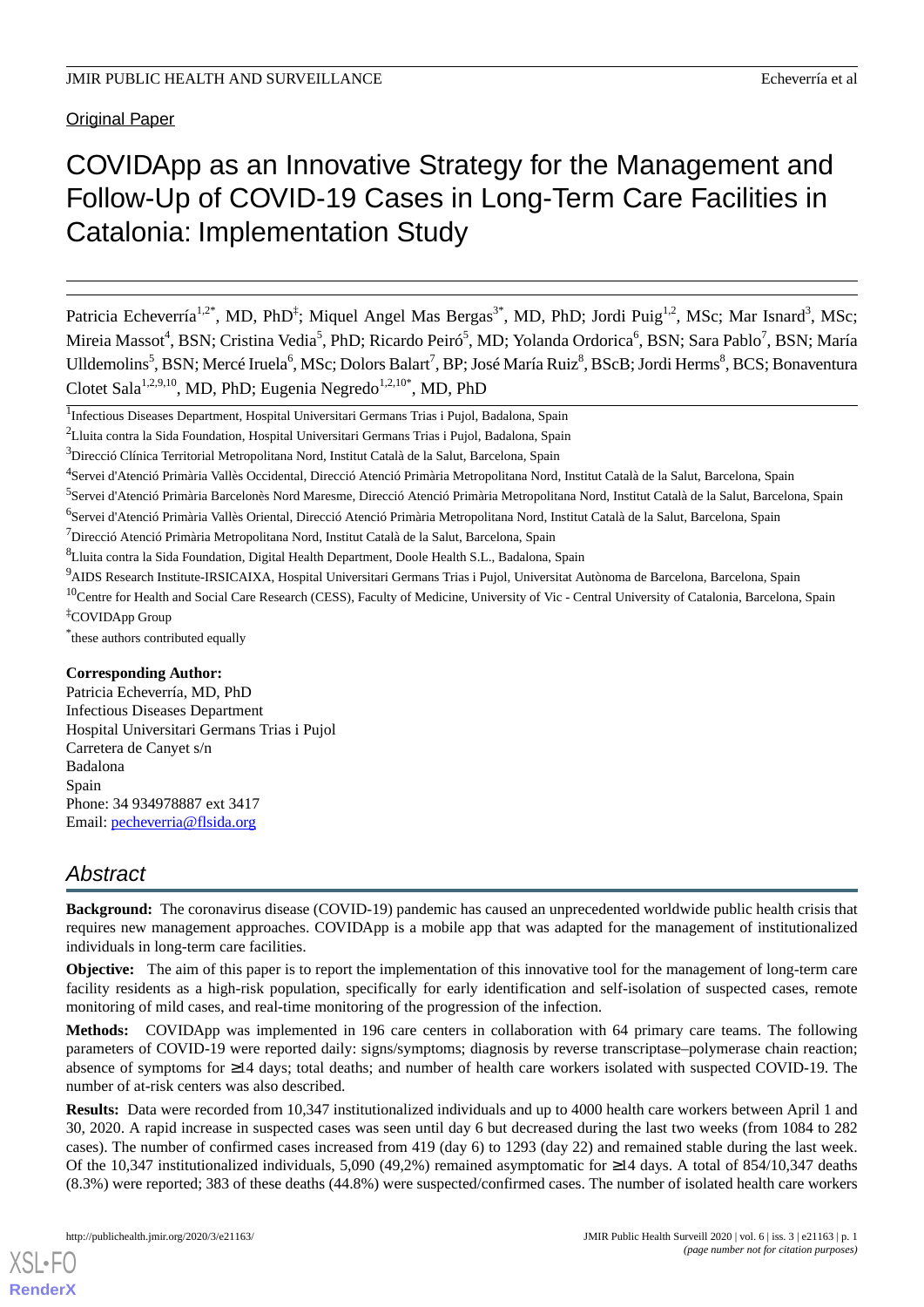Original Paper

# COVIDApp as an Innovative Strategy for the Management and Follow-Up of COVID-19 Cases in Long-Term Care Facilities in Catalonia: Implementation Study

Patricia Echeverría<sup>1,2\*</sup>, MD, PhD<sup>‡</sup>; Miquel Angel Mas Bergas<sup>3\*</sup>, MD, PhD; Jordi Puig<sup>1,2</sup>, MSc; Mar Isnard<sup>3</sup>, MSc; Mireia Massot<sup>4</sup>, BSN; Cristina Vedia<sup>5</sup>, PhD; Ricardo Peiró<sup>5</sup>, MD; Yolanda Ordorica<sup>6</sup>, BSN; Sara Pablo<sup>7</sup>, BSN; María Ulldemolins<sup>5</sup>, BSN; Mercé Iruela<sup>6</sup>, MSc; Dolors Balart<sup>7</sup>, BP; José María Ruiz<sup>8</sup>, BScB; Jordi Herms<sup>8</sup>, BCS; Bonaventura Clotet Sala<sup>1,2,9,10</sup>, MD, PhD; Eugenia Negredo<sup>1,2,10\*</sup>, MD, PhD

<sup>4</sup>Servei d'Atenció Primària Vallès Occidental, Direcció Atenció Primària Metropolitana Nord, Institut Català de la Salut, Barcelona, Spain

<sup>6</sup>Servei d'Atenció Primària Vallès Oriental, Direcció Atenció Primària Metropolitana Nord, Institut Català de la Salut, Barcelona, Spain

 $<sup>7</sup>$ Direcció Atenció Primària Metropolitana Nord, Institut Català de la Salut, Barcelona, Spain</sup>

<sup>8</sup>Lluita contra la Sida Foundation, Digital Health Department, Doole Health S.L., Badalona, Spain

- <sup>9</sup>AIDS Research Institute-IRSICAIXA, Hospital Universitari Germans Trias i Pujol, Universitat Autònoma de Barcelona, Barcelona, Spain
- <sup>10</sup>Centre for Health and Social Care Research (CESS), Faculty of Medicine, University of Vic Central University of Catalonia, Barcelona, Spain ‡COVIDApp Group

\* these authors contributed equally

#### **Corresponding Author:**

Patricia Echeverría, MD, PhD Infectious Diseases Department Hospital Universitari Germans Trias i Pujol Carretera de Canyet s/n Badalona Spain Phone: 34 934978887 ext 3417 Email: [pecheverria@flsida.org](mailto:pecheverria@flsida.org)

## *Abstract*

**Background:** The coronavirus disease (COVID-19) pandemic has caused an unprecedented worldwide public health crisis that requires new management approaches. COVIDApp is a mobile app that was adapted for the management of institutionalized individuals in long-term care facilities.

**Objective:** The aim of this paper is to report the implementation of this innovative tool for the management of long-term care facility residents as a high-risk population, specifically for early identification and self-isolation of suspected cases, remote monitoring of mild cases, and real-time monitoring of the progression of the infection.

**Methods:** COVIDApp was implemented in 196 care centers in collaboration with 64 primary care teams. The following parameters of COVID-19 were reported daily: signs/symptoms; diagnosis by reverse transcriptase–polymerase chain reaction; absence of symptoms for ≥14 days; total deaths; and number of health care workers isolated with suspected COVID-19. The number of at-risk centers was also described.

**Results:** Data were recorded from 10,347 institutionalized individuals and up to 4000 health care workers between April 1 and 30, 2020. A rapid increase in suspected cases was seen until day 6 but decreased during the last two weeks (from 1084 to 282 cases). The number of confirmed cases increased from 419 (day 6) to 1293 (day 22) and remained stable during the last week. Of the 10,347 institutionalized individuals, 5,090 (49,2%) remained asymptomatic for ≥14 days. A total of 854/10,347 deaths (8.3%) were reported; 383 of these deaths (44.8%) were suspected/confirmed cases. The number of isolated health care workers

[XSL](http://www.w3.org/Style/XSL)•FO **[RenderX](http://www.renderx.com/)**

<sup>&</sup>lt;sup>1</sup>Infectious Diseases Department, Hospital Universitari Germans Trias i Pujol, Badalona, Spain

<sup>&</sup>lt;sup>2</sup>Lluita contra la Sida Foundation, Hospital Universitari Germans Trias i Pujol, Badalona, Spain

<sup>3</sup>Direcció Clínica Territorial Metropolitana Nord, Institut Català de la Salut, Barcelona, Spain

<sup>&</sup>lt;sup>5</sup>Servei d'Atenció Primària Barcelonès Nord Maresme, Direcció Atenció Primària Metropolitana Nord, Institut Català de la Salut, Barcelona, Spain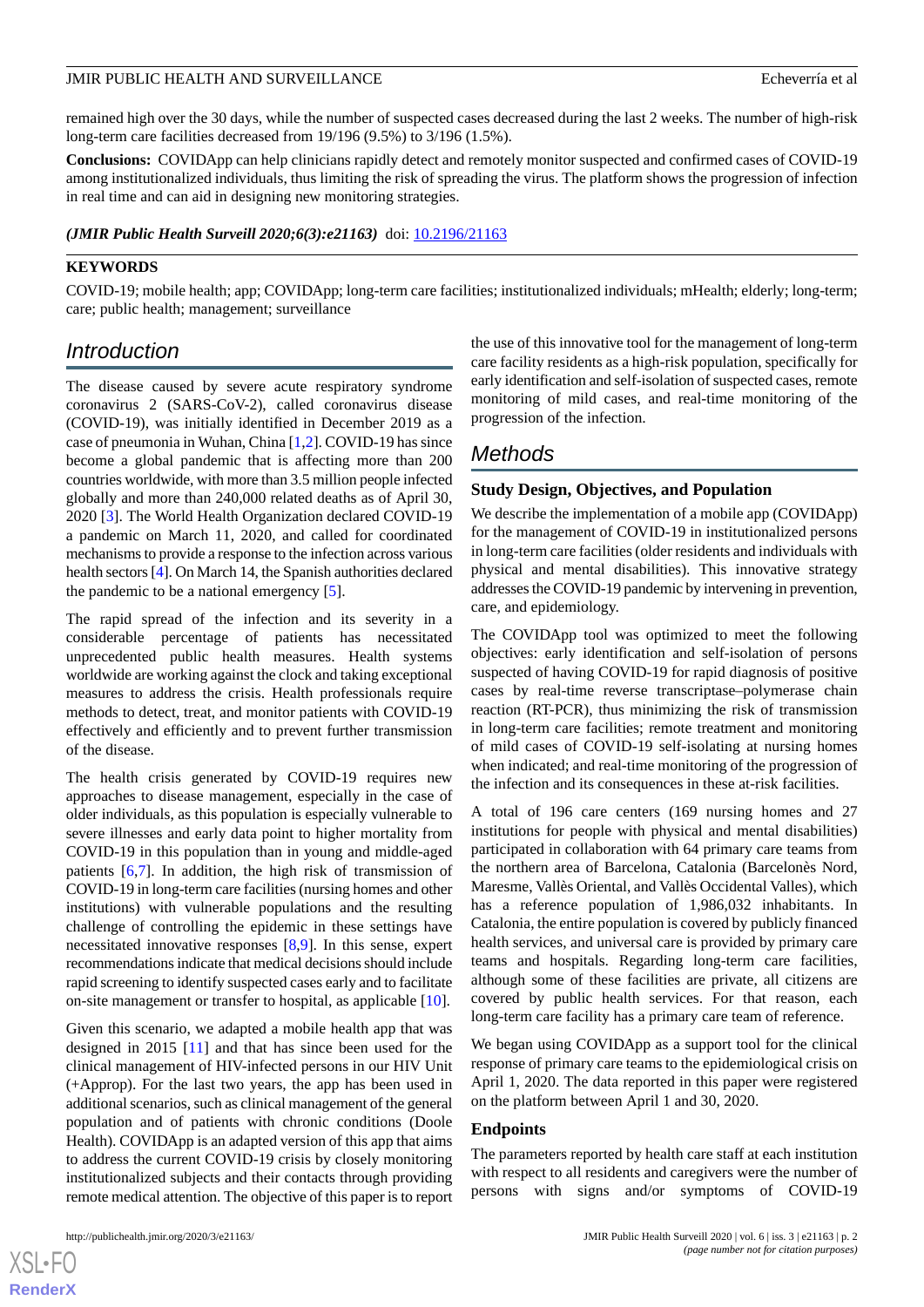#### JMIR PUBLIC HEALTH AND SURVEILLANCE **External and SURVEILLANCE Exhibition** Echeverría et al.

remained high over the 30 days, while the number of suspected cases decreased during the last 2 weeks. The number of high-risk long-term care facilities decreased from 19/196 (9.5%) to 3/196 (1.5%).

**Conclusions:** COVIDApp can help clinicians rapidly detect and remotely monitor suspected and confirmed cases of COVID-19 among institutionalized individuals, thus limiting the risk of spreading the virus. The platform shows the progression of infection in real time and can aid in designing new monitoring strategies.

*(JMIR Public Health Surveill 2020;6(3):e21163)* doi: [10.2196/21163](http://dx.doi.org/10.2196/21163)

#### **KEYWORDS**

COVID-19; mobile health; app; COVIDApp; long-term care facilities; institutionalized individuals; mHealth; elderly; long-term; care; public health; management; surveillance

## *Introduction*

The disease caused by severe acute respiratory syndrome coronavirus 2 (SARS-CoV-2), called coronavirus disease (COVID-19), was initially identified in December 2019 as a case of pneumonia in Wuhan, China [\[1](#page-6-0),[2\]](#page-6-1). COVID-19 has since become a global pandemic that is affecting more than 200 countries worldwide, with more than 3.5 million people infected globally and more than 240,000 related deaths as of April 30, 2020 [\[3](#page-6-2)]. The World Health Organization declared COVID-19 a pandemic on March 11, 2020, and called for coordinated mechanisms to provide a response to the infection across various health sectors [[4\]](#page-6-3). On March 14, the Spanish authorities declared the pandemic to be a national emergency [[5\]](#page-6-4).

The rapid spread of the infection and its severity in a considerable percentage of patients has necessitated unprecedented public health measures. Health systems worldwide are working against the clock and taking exceptional measures to address the crisis. Health professionals require methods to detect, treat, and monitor patients with COVID-19 effectively and efficiently and to prevent further transmission of the disease.

The health crisis generated by COVID-19 requires new approaches to disease management, especially in the case of older individuals, as this population is especially vulnerable to severe illnesses and early data point to higher mortality from COVID-19 in this population than in young and middle-aged patients [[6](#page-6-5),[7\]](#page-6-6). In addition, the high risk of transmission of COVID-19 in long-term care facilities (nursing homes and other institutions) with vulnerable populations and the resulting challenge of controlling the epidemic in these settings have necessitated innovative responses [\[8](#page-6-7),[9\]](#page-6-8). In this sense, expert recommendations indicate that medical decisions should include rapid screening to identify suspected cases early and to facilitate on-site management or transfer to hospital, as applicable [\[10](#page-6-9)].

Given this scenario, we adapted a mobile health app that was designed in 2015 [\[11](#page-6-10)] and that has since been used for the clinical management of HIV-infected persons in our HIV Unit (+Approp). For the last two years, the app has been used in additional scenarios, such as clinical management of the general population and of patients with chronic conditions (Doole Health). COVIDApp is an adapted version of this app that aims to address the current COVID-19 crisis by closely monitoring institutionalized subjects and their contacts through providing remote medical attention. The objective of this paper is to report

the use of this innovative tool for the management of long-term care facility residents as a high-risk population, specifically for early identification and self-isolation of suspected cases, remote monitoring of mild cases, and real-time monitoring of the progression of the infection.

## *Methods*

#### **Study Design, Objectives, and Population**

We describe the implementation of a mobile app (COVIDApp) for the management of COVID-19 in institutionalized persons in long-term care facilities (older residents and individuals with physical and mental disabilities). This innovative strategy addresses the COVID-19 pandemic by intervening in prevention, care, and epidemiology.

The COVIDApp tool was optimized to meet the following objectives: early identification and self-isolation of persons suspected of having COVID-19 for rapid diagnosis of positive cases by real-time reverse transcriptase–polymerase chain reaction (RT-PCR), thus minimizing the risk of transmission in long-term care facilities; remote treatment and monitoring of mild cases of COVID-19 self-isolating at nursing homes when indicated; and real-time monitoring of the progression of the infection and its consequences in these at-risk facilities.

A total of 196 care centers (169 nursing homes and 27 institutions for people with physical and mental disabilities) participated in collaboration with 64 primary care teams from the northern area of Barcelona, Catalonia (Barcelonès Nord, Maresme, Vallès Oriental, and Vallès Occidental Valles), which has a reference population of 1,986,032 inhabitants. In Catalonia, the entire population is covered by publicly financed health services, and universal care is provided by primary care teams and hospitals. Regarding long-term care facilities, although some of these facilities are private, all citizens are covered by public health services. For that reason, each long-term care facility has a primary care team of reference.

We began using COVIDApp as a support tool for the clinical response of primary care teams to the epidemiological crisis on April 1, 2020. The data reported in this paper were registered on the platform between April 1 and 30, 2020.

#### **Endpoints**

The parameters reported by health care staff at each institution with respect to all residents and caregivers were the number of persons with signs and/or symptoms of COVID-19

 $XS$  • FO **[RenderX](http://www.renderx.com/)**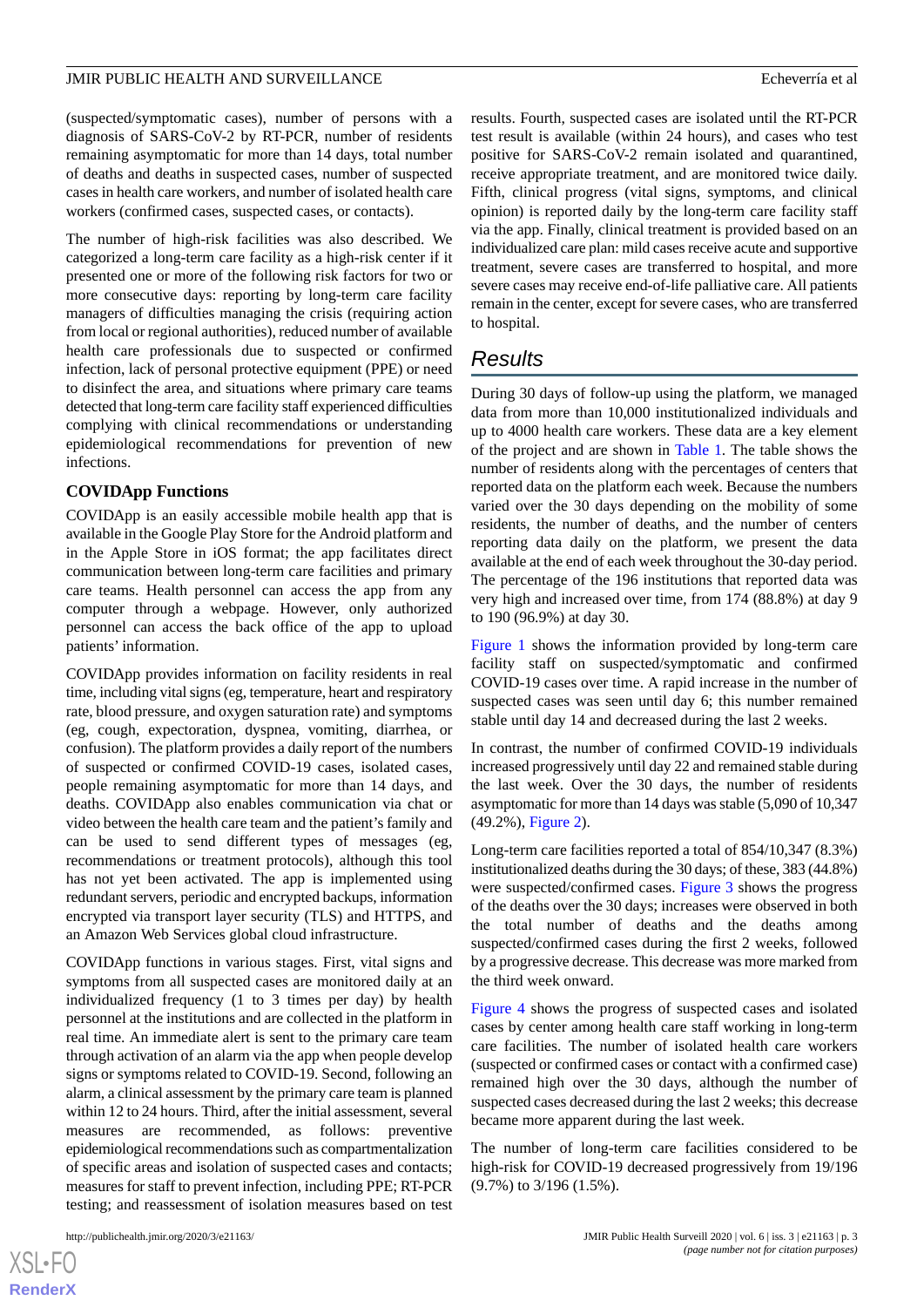#### JMIR PUBLIC HEALTH AND SURVEILLANCE **External and SURVEILLANCE Exhibition** Echeverría et al.

(suspected/symptomatic cases), number of persons with a diagnosis of SARS-CoV-2 by RT-PCR, number of residents remaining asymptomatic for more than 14 days, total number of deaths and deaths in suspected cases, number of suspected cases in health care workers, and number of isolated health care workers (confirmed cases, suspected cases, or contacts).

The number of high-risk facilities was also described. We categorized a long-term care facility as a high-risk center if it presented one or more of the following risk factors for two or more consecutive days: reporting by long-term care facility managers of difficulties managing the crisis (requiring action from local or regional authorities), reduced number of available health care professionals due to suspected or confirmed infection, lack of personal protective equipment (PPE) or need to disinfect the area, and situations where primary care teams detected that long-term care facility staff experienced difficulties complying with clinical recommendations or understanding epidemiological recommendations for prevention of new infections.

#### **COVIDApp Functions**

COVIDApp is an easily accessible mobile health app that is available in the Google Play Store for the Android platform and in the Apple Store in iOS format; the app facilitates direct communication between long-term care facilities and primary care teams. Health personnel can access the app from any computer through a webpage. However, only authorized personnel can access the back office of the app to upload patients' information.

COVIDApp provides information on facility residents in real time, including vital signs (eg, temperature, heart and respiratory rate, blood pressure, and oxygen saturation rate) and symptoms (eg, cough, expectoration, dyspnea, vomiting, diarrhea, or confusion). The platform provides a daily report of the numbers of suspected or confirmed COVID-19 cases, isolated cases, people remaining asymptomatic for more than 14 days, and deaths. COVIDApp also enables communication via chat or video between the health care team and the patient's family and can be used to send different types of messages (eg, recommendations or treatment protocols), although this tool has not yet been activated. The app is implemented using redundant servers, periodic and encrypted backups, information encrypted via transport layer security (TLS) and HTTPS, and an Amazon Web Services global cloud infrastructure.

COVIDApp functions in various stages. First, vital signs and symptoms from all suspected cases are monitored daily at an individualized frequency (1 to 3 times per day) by health personnel at the institutions and are collected in the platform in real time. An immediate alert is sent to the primary care team through activation of an alarm via the app when people develop signs or symptoms related to COVID-19. Second, following an alarm, a clinical assessment by the primary care team is planned within 12 to 24 hours. Third, after the initial assessment, several measures are recommended, as follows: preventive epidemiological recommendations such as compartmentalization of specific areas and isolation of suspected cases and contacts; measures for staff to prevent infection, including PPE; RT-PCR testing; and reassessment of isolation measures based on test

 $XS$ -FO **[RenderX](http://www.renderx.com/)** results. Fourth, suspected cases are isolated until the RT-PCR test result is available (within 24 hours), and cases who test positive for SARS-CoV-2 remain isolated and quarantined, receive appropriate treatment, and are monitored twice daily. Fifth, clinical progress (vital signs, symptoms, and clinical opinion) is reported daily by the long-term care facility staff via the app. Finally, clinical treatment is provided based on an individualized care plan: mild cases receive acute and supportive treatment, severe cases are transferred to hospital, and more severe cases may receive end-of-life palliative care. All patients remain in the center, except for severe cases, who are transferred to hospital.

## *Results*

During 30 days of follow-up using the platform, we managed data from more than 10,000 institutionalized individuals and up to 4000 health care workers. These data are a key element of the project and are shown in [Table 1](#page-3-0). The table shows the number of residents along with the percentages of centers that reported data on the platform each week. Because the numbers varied over the 30 days depending on the mobility of some residents, the number of deaths, and the number of centers reporting data daily on the platform, we present the data available at the end of each week throughout the 30-day period. The percentage of the 196 institutions that reported data was very high and increased over time, from 174 (88.8%) at day 9 to 190 (96.9%) at day 30.

[Figure 1](#page-3-1) shows the information provided by long-term care facility staff on suspected/symptomatic and confirmed COVID-19 cases over time. A rapid increase in the number of suspected cases was seen until day 6; this number remained stable until day 14 and decreased during the last 2 weeks.

In contrast, the number of confirmed COVID-19 individuals increased progressively until day 22 and remained stable during the last week. Over the 30 days, the number of residents asymptomatic for more than 14 days was stable (5,090 of 10,347 (49.2%), [Figure 2\)](#page-3-2).

Long-term care facilities reported a total of 854/10,347 (8.3%) institutionalized deaths during the 30 days; of these, 383 (44.8%) were suspected/confirmed cases. [Figure 3](#page-4-0) shows the progress of the deaths over the 30 days; increases were observed in both the total number of deaths and the deaths among suspected/confirmed cases during the first 2 weeks, followed by a progressive decrease. This decrease was more marked from the third week onward.

[Figure 4](#page-4-1) shows the progress of suspected cases and isolated cases by center among health care staff working in long-term care facilities. The number of isolated health care workers (suspected or confirmed cases or contact with a confirmed case) remained high over the 30 days, although the number of suspected cases decreased during the last 2 weeks; this decrease became more apparent during the last week.

The number of long-term care facilities considered to be high-risk for COVID-19 decreased progressively from 19/196 (9.7%) to 3/196 (1.5%).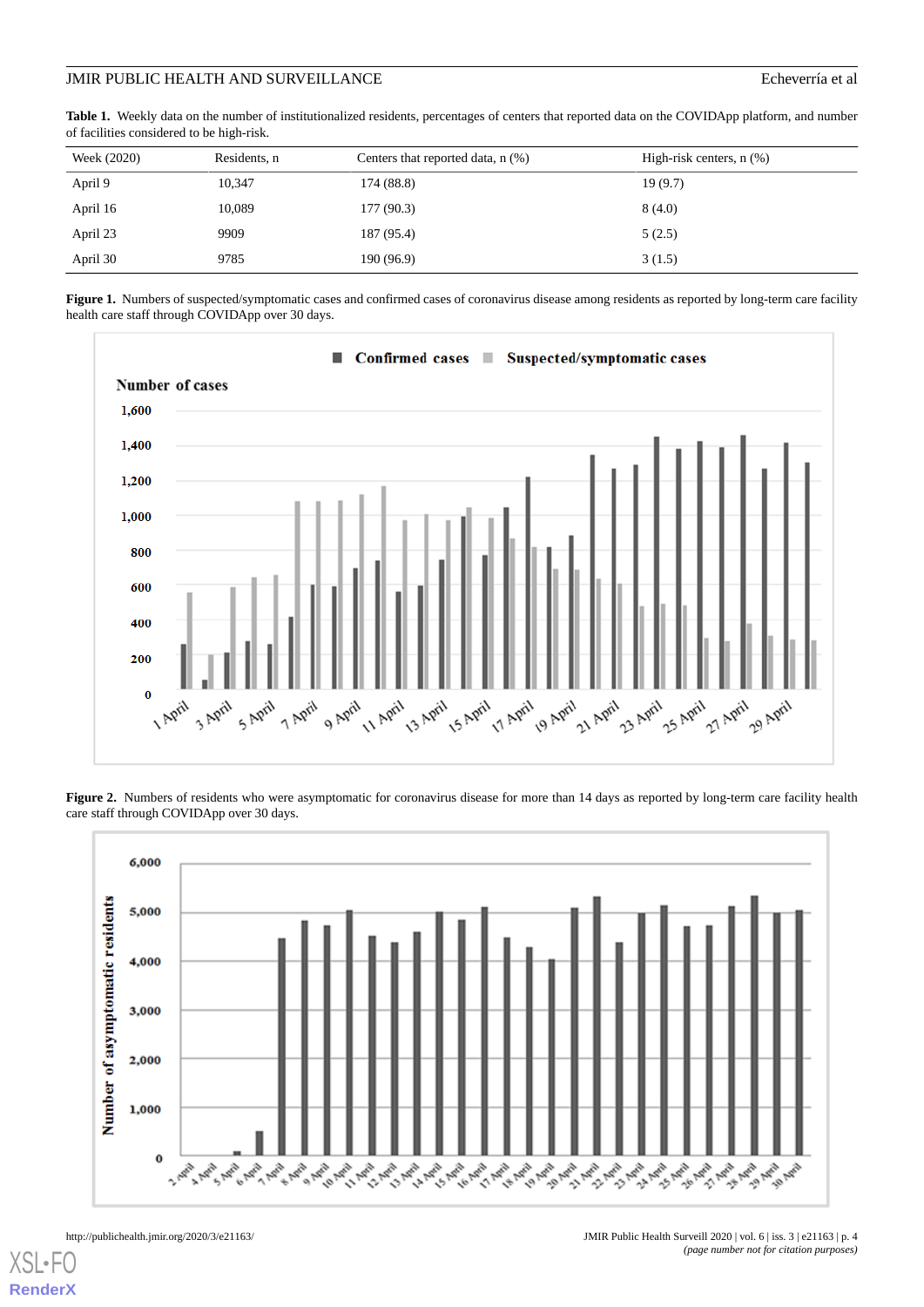#### JMIR PUBLIC HEALTH AND SURVEILLANCE Echeverría et al

<span id="page-3-0"></span>**Table 1.** Weekly data on the number of institutionalized residents, percentages of centers that reported data on the COVIDApp platform, and number of facilities considered to be high-risk.

| Week (2020) | Residents, n | Centers that reported data, $n$ $%$ ) | High-risk centers, $n$ $(\%)$ |
|-------------|--------------|---------------------------------------|-------------------------------|
| April 9     | 10,347       | 174 (88.8)                            | 19(9.7)                       |
| April 16    | 10,089       | 177(90.3)                             | 8(4.0)                        |
| April 23    | 9909         | 187 (95.4)                            | 5(2.5)                        |
| April 30    | 9785         | 190 (96.9)                            | 3(1.5)                        |

<span id="page-3-1"></span>Figure 1. Numbers of suspected/symptomatic cases and confirmed cases of coronavirus disease among residents as reported by long-term care facility health care staff through COVIDApp over 30 days.



<span id="page-3-2"></span>Figure 2. Numbers of residents who were asymptomatic for coronavirus disease for more than 14 days as reported by long-term care facility health care staff through COVIDApp over 30 days.



[XSL](http://www.w3.org/Style/XSL)•FO **[RenderX](http://www.renderx.com/)**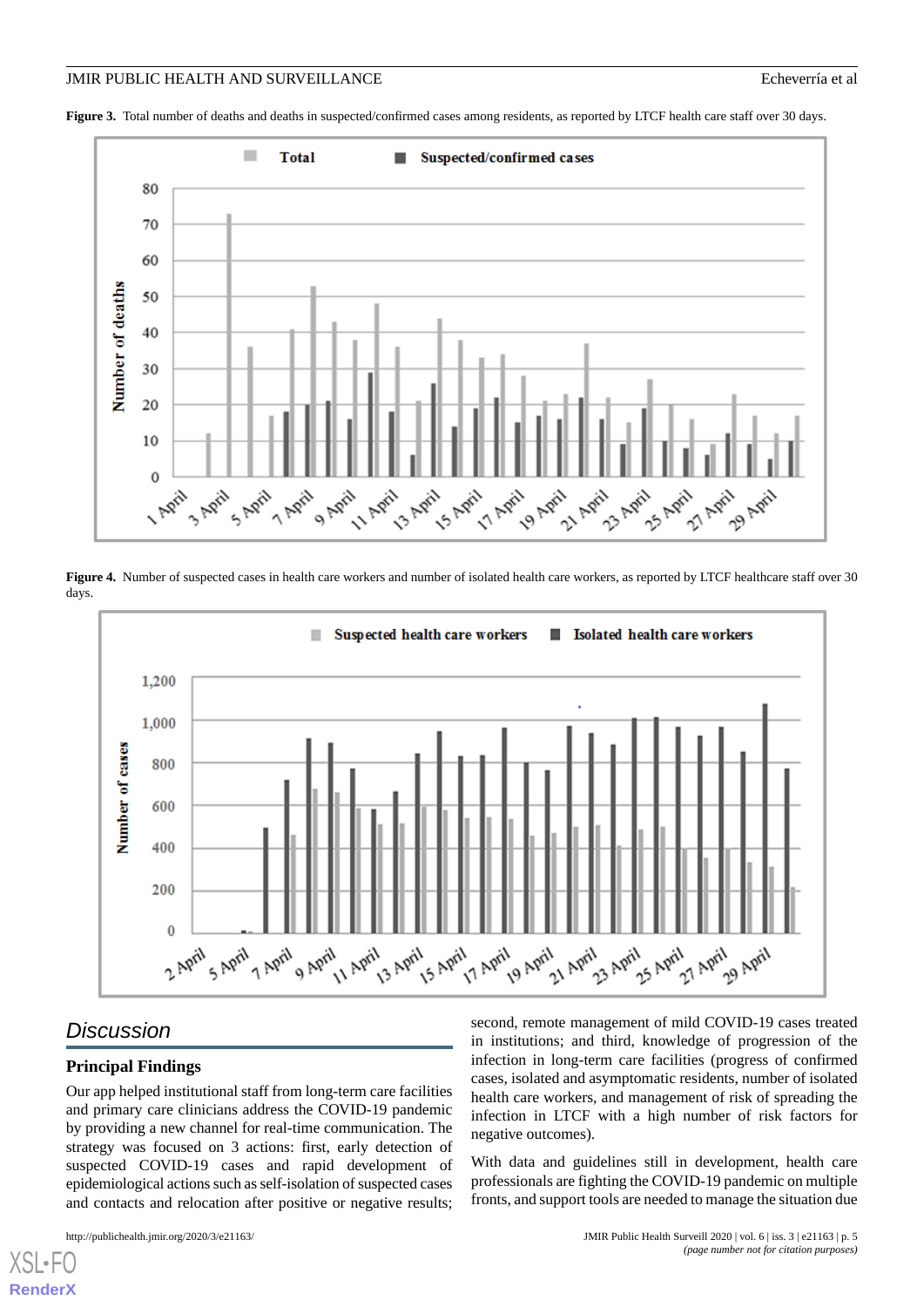#### JMIR PUBLIC HEALTH AND SURVEILLANCE Echeverría et al

<span id="page-4-0"></span>Figure 3. Total number of deaths and deaths in suspected/confirmed cases among residents, as reported by LTCF health care staff over 30 days.



<span id="page-4-1"></span>**Figure 4.** Number of suspected cases in health care workers and number of isolated health care workers, as reported by LTCF healthcare staff over 30 days.



## *Discussion*

[XSL](http://www.w3.org/Style/XSL)•FO **[RenderX](http://www.renderx.com/)**

#### **Principal Findings**

Our app helped institutional staff from long-term care facilities and primary care clinicians address the COVID-19 pandemic by providing a new channel for real-time communication. The strategy was focused on 3 actions: first, early detection of suspected COVID-19 cases and rapid development of epidemiological actions such as self-isolation of suspected cases and contacts and relocation after positive or negative results;

second, remote management of mild COVID-19 cases treated in institutions; and third, knowledge of progression of the infection in long-term care facilities (progress of confirmed cases, isolated and asymptomatic residents, number of isolated health care workers, and management of risk of spreading the infection in LTCF with a high number of risk factors for negative outcomes).

With data and guidelines still in development, health care professionals are fighting the COVID-19 pandemic on multiple fronts, and support tools are needed to manage the situation due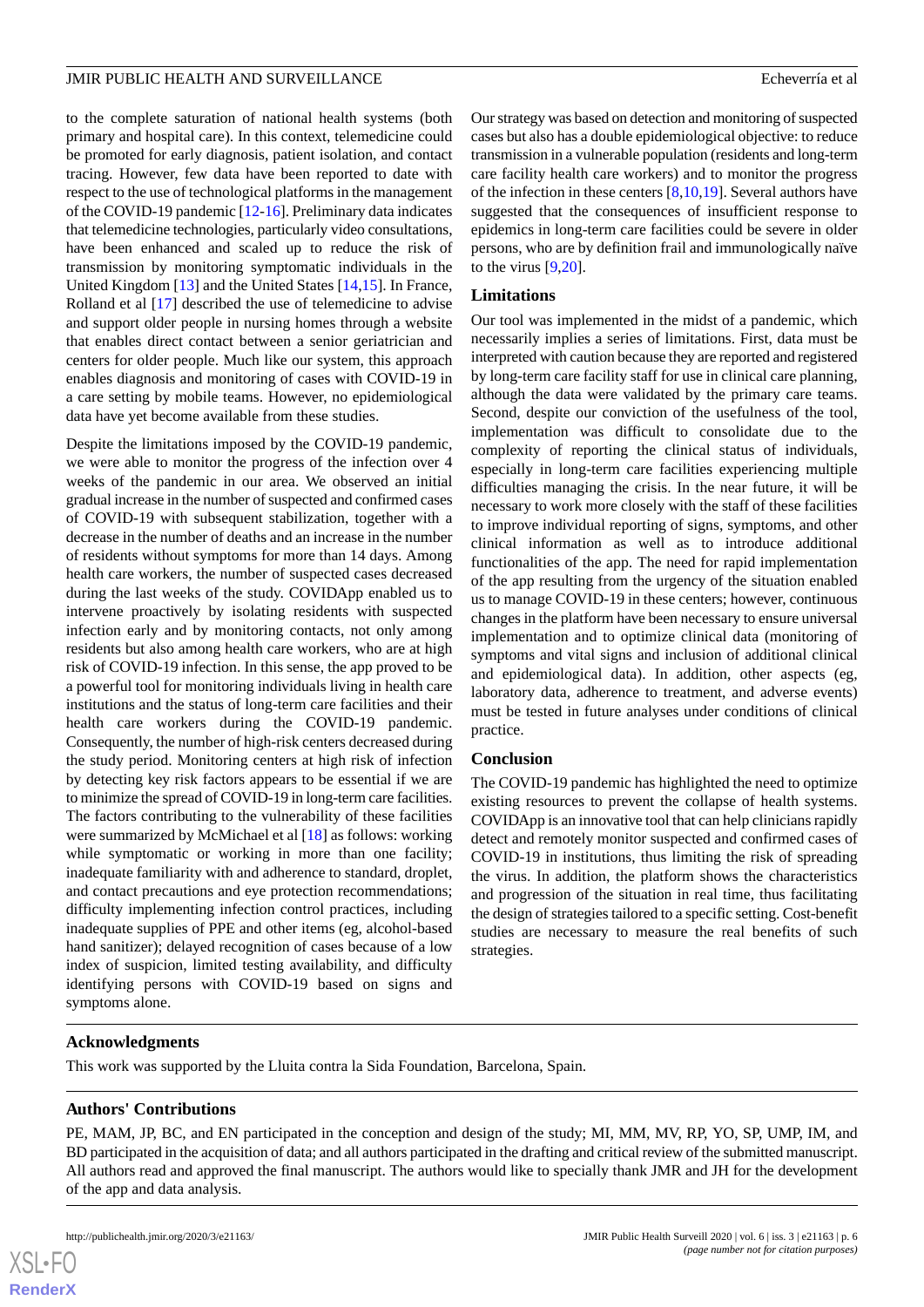#### JMIR PUBLIC HEALTH AND SURVEILLANCE **External and SURVEILLANCE Exhibition** Echeverría et al.

to the complete saturation of national health systems (both primary and hospital care). In this context, telemedicine could be promoted for early diagnosis, patient isolation, and contact tracing. However, few data have been reported to date with respect to the use of technological platforms in the management of the COVID-19 pandemic [\[12](#page-6-11)-[16\]](#page-6-12). Preliminary data indicates that telemedicine technologies, particularly video consultations, have been enhanced and scaled up to reduce the risk of transmission by monitoring symptomatic individuals in the United Kingdom [\[13](#page-6-13)] and the United States [[14](#page-6-14)[,15](#page-6-15)]. In France, Rolland et al [[17\]](#page-6-16) described the use of telemedicine to advise and support older people in nursing homes through a website that enables direct contact between a senior geriatrician and centers for older people. Much like our system, this approach enables diagnosis and monitoring of cases with COVID-19 in a care setting by mobile teams. However, no epidemiological data have yet become available from these studies.

Despite the limitations imposed by the COVID-19 pandemic, we were able to monitor the progress of the infection over 4 weeks of the pandemic in our area. We observed an initial gradual increase in the number of suspected and confirmed cases of COVID-19 with subsequent stabilization, together with a decrease in the number of deaths and an increase in the number of residents without symptoms for more than 14 days. Among health care workers, the number of suspected cases decreased during the last weeks of the study. COVIDApp enabled us to intervene proactively by isolating residents with suspected infection early and by monitoring contacts, not only among residents but also among health care workers, who are at high risk of COVID-19 infection. In this sense, the app proved to be a powerful tool for monitoring individuals living in health care institutions and the status of long-term care facilities and their health care workers during the COVID-19 pandemic. Consequently, the number of high-risk centers decreased during the study period. Monitoring centers at high risk of infection by detecting key risk factors appears to be essential if we are to minimize the spread of COVID-19 in long-term care facilities. The factors contributing to the vulnerability of these facilities were summarized by McMichael et al [[18\]](#page-6-17) as follows: working while symptomatic or working in more than one facility; inadequate familiarity with and adherence to standard, droplet, and contact precautions and eye protection recommendations; difficulty implementing infection control practices, including inadequate supplies of PPE and other items (eg, alcohol-based hand sanitizer); delayed recognition of cases because of a low index of suspicion, limited testing availability, and difficulty identifying persons with COVID-19 based on signs and symptoms alone.

Our strategy was based on detection and monitoring of suspected cases but also has a double epidemiological objective: to reduce transmission in a vulnerable population (residents and long-term care facility health care workers) and to monitor the progress of the infection in these centers [[8](#page-6-7)[,10](#page-6-9),[19\]](#page-6-18). Several authors have suggested that the consequences of insufficient response to epidemics in long-term care facilities could be severe in older persons, who are by definition frail and immunologically naïve to the virus [\[9,](#page-6-8)[20\]](#page-6-19).

## **Limitations**

Our tool was implemented in the midst of a pandemic, which necessarily implies a series of limitations. First, data must be interpreted with caution because they are reported and registered by long-term care facility staff for use in clinical care planning, although the data were validated by the primary care teams. Second, despite our conviction of the usefulness of the tool, implementation was difficult to consolidate due to the complexity of reporting the clinical status of individuals, especially in long-term care facilities experiencing multiple difficulties managing the crisis. In the near future, it will be necessary to work more closely with the staff of these facilities to improve individual reporting of signs, symptoms, and other clinical information as well as to introduce additional functionalities of the app. The need for rapid implementation of the app resulting from the urgency of the situation enabled us to manage COVID-19 in these centers; however, continuous changes in the platform have been necessary to ensure universal implementation and to optimize clinical data (monitoring of symptoms and vital signs and inclusion of additional clinical and epidemiological data). In addition, other aspects (eg, laboratory data, adherence to treatment, and adverse events) must be tested in future analyses under conditions of clinical practice.

#### **Conclusion**

The COVID-19 pandemic has highlighted the need to optimize existing resources to prevent the collapse of health systems. COVIDApp is an innovative tool that can help clinicians rapidly detect and remotely monitor suspected and confirmed cases of COVID-19 in institutions, thus limiting the risk of spreading the virus. In addition, the platform shows the characteristics and progression of the situation in real time, thus facilitating the design of strategies tailored to a specific setting. Cost-benefit studies are necessary to measure the real benefits of such strategies.

#### **Acknowledgments**

This work was supported by the Lluita contra la Sida Foundation, Barcelona, Spain.

#### **Authors' Contributions**

PE, MAM, JP, BC, and EN participated in the conception and design of the study; MI, MM, MV, RP, YO, SP, UMP, IM, and BD participated in the acquisition of data; and all authors participated in the drafting and critical review of the submitted manuscript. All authors read and approved the final manuscript. The authors would like to specially thank JMR and JH for the development of the app and data analysis.

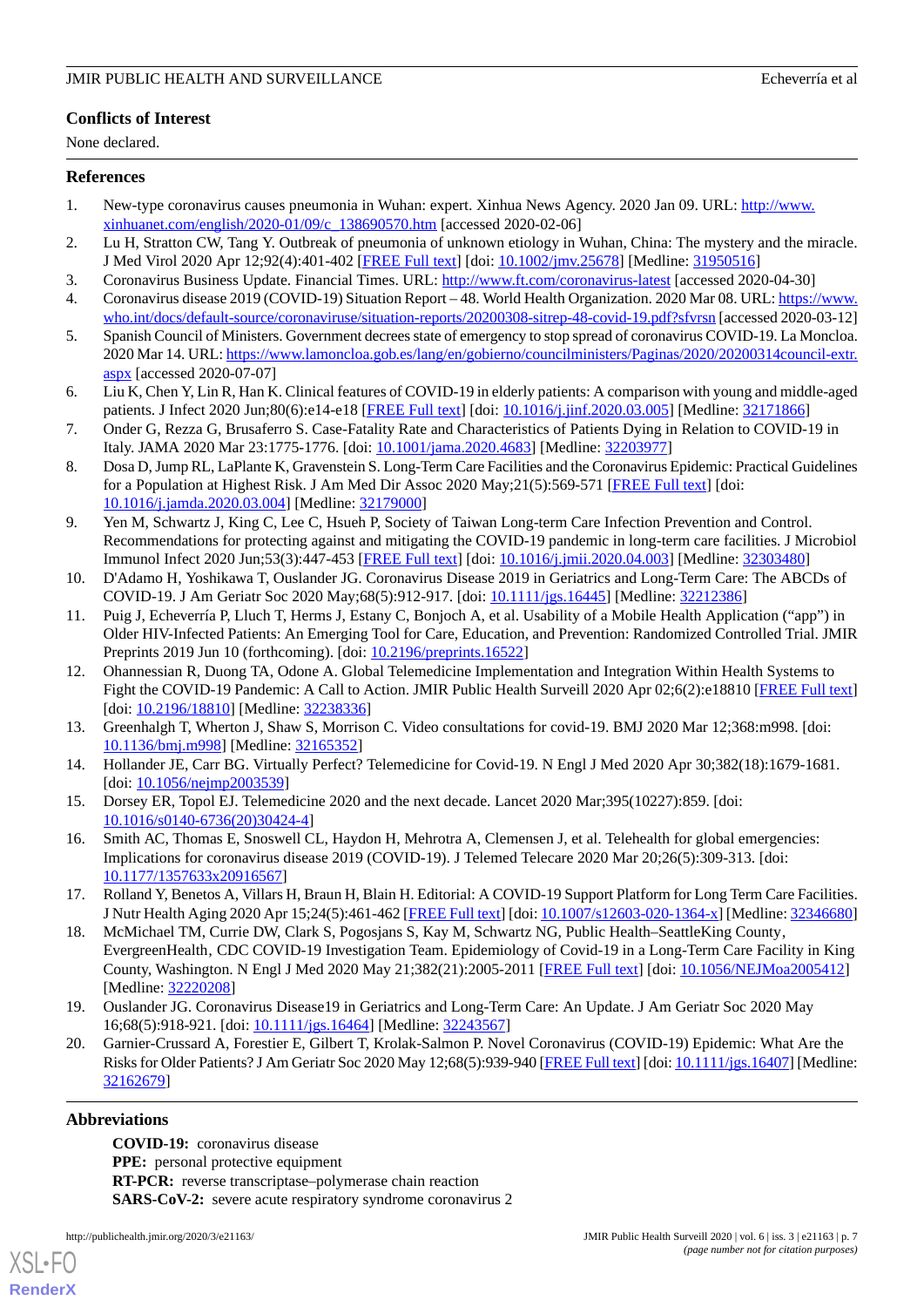## **Conflicts of Interest**

None declared.

#### <span id="page-6-0"></span>**References**

- <span id="page-6-1"></span>1. New-type coronavirus causes pneumonia in Wuhan: expert. Xinhua News Agency. 2020 Jan 09. URL: [http://www.](http://www.xinhuanet.com/english/2020-01/09/c_138690570.htm) [xinhuanet.com/english/2020-01/09/c\\_138690570.htm](http://www.xinhuanet.com/english/2020-01/09/c_138690570.htm) [accessed 2020-02-06]
- <span id="page-6-2"></span>2. Lu H, Stratton CW, Tang Y. Outbreak of pneumonia of unknown etiology in Wuhan, China: The mystery and the miracle. J Med Virol 2020 Apr 12;92(4):401-402 [[FREE Full text](http://europepmc.org/abstract/MED/31950516)] [doi: [10.1002/jmv.25678](http://dx.doi.org/10.1002/jmv.25678)] [Medline: [31950516\]](http://www.ncbi.nlm.nih.gov/entrez/query.fcgi?cmd=Retrieve&db=PubMed&list_uids=31950516&dopt=Abstract)
- <span id="page-6-3"></span>3. Coronavirus Business Update. Financial Times. URL: <http://www.ft.com/coronavirus-latest> [accessed 2020-04-30]
- <span id="page-6-4"></span>4. Coronavirus disease 2019 (COVID-19) Situation Report – 48. World Health Organization. 2020 Mar 08. URL: [https://www.](https://www.who.int/docs/default-source/coronaviruse/situation-reports/20200308-sitrep-48-covid-19.pdf?sfvrsn) [who.int/docs/default-source/coronaviruse/situation-reports/20200308-sitrep-48-covid-19.pdf?sfvrsn](https://www.who.int/docs/default-source/coronaviruse/situation-reports/20200308-sitrep-48-covid-19.pdf?sfvrsn) [accessed 2020-03-12]
- <span id="page-6-5"></span>5. Spanish Council of Ministers. Government decrees state of emergency to stop spread of coronavirus COVID-19. La Moncloa. 2020 Mar 14. URL: [https://www.lamoncloa.gob.es/lang/en/gobierno/councilministers/Paginas/2020/20200314council-extr.](https://www.lamoncloa.gob.es/lang/en/gobierno/councilministers/Paginas/2020/20200314council-extr.aspx) [aspx](https://www.lamoncloa.gob.es/lang/en/gobierno/councilministers/Paginas/2020/20200314council-extr.aspx) [accessed 2020-07-07]
- <span id="page-6-6"></span>6. Liu K, Chen Y, Lin R, Han K. Clinical features of COVID-19 in elderly patients: A comparison with young and middle-aged patients. J Infect 2020 Jun;80(6):e14-e18 [\[FREE Full text\]](http://europepmc.org/abstract/MED/32171866) [doi: [10.1016/j.jinf.2020.03.005](http://dx.doi.org/10.1016/j.jinf.2020.03.005)] [Medline: [32171866\]](http://www.ncbi.nlm.nih.gov/entrez/query.fcgi?cmd=Retrieve&db=PubMed&list_uids=32171866&dopt=Abstract)
- <span id="page-6-7"></span>7. Onder G, Rezza G, Brusaferro S. Case-Fatality Rate and Characteristics of Patients Dying in Relation to COVID-19 in Italy. JAMA 2020 Mar 23:1775-1776. [doi: [10.1001/jama.2020.4683](http://dx.doi.org/10.1001/jama.2020.4683)] [Medline: [32203977\]](http://www.ncbi.nlm.nih.gov/entrez/query.fcgi?cmd=Retrieve&db=PubMed&list_uids=32203977&dopt=Abstract)
- <span id="page-6-8"></span>8. Dosa D, Jump RL, LaPlante K, Gravenstein S. Long-Term Care Facilities and the Coronavirus Epidemic: Practical Guidelines for a Population at Highest Risk. J Am Med Dir Assoc 2020 May;21(5):569-571 [[FREE Full text](http://europepmc.org/abstract/MED/32179000)] [doi: [10.1016/j.jamda.2020.03.004](http://dx.doi.org/10.1016/j.jamda.2020.03.004)] [Medline: [32179000\]](http://www.ncbi.nlm.nih.gov/entrez/query.fcgi?cmd=Retrieve&db=PubMed&list_uids=32179000&dopt=Abstract)
- <span id="page-6-9"></span>9. Yen M, Schwartz J, King C, Lee C, Hsueh P, Society of Taiwan Long-term Care Infection Prevention and Control. Recommendations for protecting against and mitigating the COVID-19 pandemic in long-term care facilities. J Microbiol Immunol Infect 2020 Jun;53(3):447-453 [\[FREE Full text\]](https://linkinghub.elsevier.com/retrieve/pii/S1684-1182(20)30097-9) [doi: [10.1016/j.jmii.2020.04.003](http://dx.doi.org/10.1016/j.jmii.2020.04.003)] [Medline: [32303480\]](http://www.ncbi.nlm.nih.gov/entrez/query.fcgi?cmd=Retrieve&db=PubMed&list_uids=32303480&dopt=Abstract)
- <span id="page-6-10"></span>10. D'Adamo H, Yoshikawa T, Ouslander JG. Coronavirus Disease 2019 in Geriatrics and Long-Term Care: The ABCDs of COVID-19. J Am Geriatr Soc 2020 May;68(5):912-917. [doi: [10.1111/jgs.16445](http://dx.doi.org/10.1111/jgs.16445)] [Medline: [32212386](http://www.ncbi.nlm.nih.gov/entrez/query.fcgi?cmd=Retrieve&db=PubMed&list_uids=32212386&dopt=Abstract)]
- <span id="page-6-11"></span>11. Puig J, Echeverría P, Lluch T, Herms J, Estany C, Bonjoch A, et al. Usability of a Mobile Health Application ("app") in Older HIV-Infected Patients: An Emerging Tool for Care, Education, and Prevention: Randomized Controlled Trial. JMIR Preprints 2019 Jun 10 (forthcoming). [doi: [10.2196/preprints.16522](http://dx.doi.org/10.2196/preprints.16522)]
- <span id="page-6-14"></span><span id="page-6-13"></span>12. Ohannessian R, Duong TA, Odone A. Global Telemedicine Implementation and Integration Within Health Systems to Fight the COVID-19 Pandemic: A Call to Action. JMIR Public Health Surveill 2020 Apr 02;6(2):e18810 [\[FREE Full text](https://publichealth.jmir.org/2020/2/e18810/)] [doi: [10.2196/18810](http://dx.doi.org/10.2196/18810)] [Medline: [32238336\]](http://www.ncbi.nlm.nih.gov/entrez/query.fcgi?cmd=Retrieve&db=PubMed&list_uids=32238336&dopt=Abstract)
- <span id="page-6-15"></span>13. Greenhalgh T, Wherton J, Shaw S, Morrison C. Video consultations for covid-19. BMJ 2020 Mar 12;368:m998. [doi: [10.1136/bmj.m998\]](http://dx.doi.org/10.1136/bmj.m998) [Medline: [32165352](http://www.ncbi.nlm.nih.gov/entrez/query.fcgi?cmd=Retrieve&db=PubMed&list_uids=32165352&dopt=Abstract)]
- <span id="page-6-12"></span>14. Hollander JE, Carr BG. Virtually Perfect? Telemedicine for Covid-19. N Engl J Med 2020 Apr 30;382(18):1679-1681. [doi: [10.1056/nejmp2003539](http://dx.doi.org/10.1056/nejmp2003539)]
- <span id="page-6-16"></span>15. Dorsey ER, Topol EJ. Telemedicine 2020 and the next decade. Lancet 2020 Mar;395(10227):859. [doi: [10.1016/s0140-6736\(20\)30424-4](http://dx.doi.org/10.1016/s0140-6736(20)30424-4)]
- <span id="page-6-17"></span>16. Smith AC, Thomas E, Snoswell CL, Haydon H, Mehrotra A, Clemensen J, et al. Telehealth for global emergencies: Implications for coronavirus disease 2019 (COVID-19). J Telemed Telecare 2020 Mar 20;26(5):309-313. [doi: [10.1177/1357633x20916567\]](http://dx.doi.org/10.1177/1357633x20916567)
- <span id="page-6-18"></span>17. Rolland Y, Benetos A, Villars H, Braun H, Blain H. Editorial: A COVID-19 Support Platform for Long Term Care Facilities. J Nutr Health Aging 2020 Apr 15;24(5):461-462 [\[FREE Full text\]](http://europepmc.org/abstract/MED/32346680) [doi: [10.1007/s12603-020-1364-x\]](http://dx.doi.org/10.1007/s12603-020-1364-x) [Medline: [32346680](http://www.ncbi.nlm.nih.gov/entrez/query.fcgi?cmd=Retrieve&db=PubMed&list_uids=32346680&dopt=Abstract)]
- <span id="page-6-19"></span>18. McMichael TM, Currie DW, Clark S, Pogosjans S, Kay M, Schwartz NG, Public Health–SeattleKing County' EvergreenHealth, CDC COVID-19 Investigation Team. Epidemiology of Covid-19 in a Long-Term Care Facility in King County, Washington. N Engl J Med 2020 May 21;382(21):2005-2011 [[FREE Full text](http://europepmc.org/abstract/MED/32220208)] [doi: [10.1056/NEJMoa2005412](http://dx.doi.org/10.1056/NEJMoa2005412)] [Medline: [32220208](http://www.ncbi.nlm.nih.gov/entrez/query.fcgi?cmd=Retrieve&db=PubMed&list_uids=32220208&dopt=Abstract)]
- 19. Ouslander JG. Coronavirus Disease19 in Geriatrics and Long-Term Care: An Update. J Am Geriatr Soc 2020 May 16;68(5):918-921. [doi: [10.1111/jgs.16464\]](http://dx.doi.org/10.1111/jgs.16464) [Medline: [32243567\]](http://www.ncbi.nlm.nih.gov/entrez/query.fcgi?cmd=Retrieve&db=PubMed&list_uids=32243567&dopt=Abstract)
- 20. Garnier-Crussard A, Forestier E, Gilbert T, Krolak-Salmon P. Novel Coronavirus (COVID-19) Epidemic: What Are the Risks for Older Patients? J Am Geriatr Soc 2020 May 12;68(5):939-940 [\[FREE Full text\]](http://europepmc.org/abstract/MED/32162679) [doi: [10.1111/jgs.16407\]](http://dx.doi.org/10.1111/jgs.16407) [Medline: [32162679](http://www.ncbi.nlm.nih.gov/entrez/query.fcgi?cmd=Retrieve&db=PubMed&list_uids=32162679&dopt=Abstract)]

### **Abbreviations**

[XSL](http://www.w3.org/Style/XSL)•FO **[RenderX](http://www.renderx.com/)**

**COVID-19:** coronavirus disease **PPE:** personal protective equipment **RT-PCR:** reverse transcriptase–polymerase chain reaction **SARS-CoV-2:** severe acute respiratory syndrome coronavirus 2